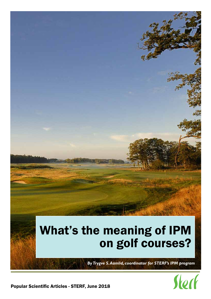

*By Trygve S. Aamlid, coordinator for STERF's IPM program* 



Popular Scientific Articles - STERF, June 2018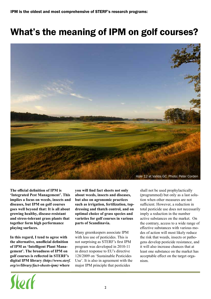## What's the meaning of IPM on golf courses?



**The official definition of IPM is 'Integrated Pest Management'. This implies a focus on weeds, insects and diseases, but IPM on golf courses goes well beyond that: It is all about growing healthy, disease-resistant and stress-tolerant grass plants that together form high performance playing surfaces.** 

**In this regard, I tend to agree with the alternative, unofficial definition of IPM as 'Intelligent Plant Management'. The broadness of IPM on golf courses is reflected in STERF's digital IPM library** *(http://www.sterf. org/sv/library/fact-sheets-ipm)* **where** 

Jork

**you will find fact sheets not only about weeds, insects and diseases, but also on agronomic practices such as irrigation, fertilization, topdressing and thatch control, and on optimal choice of grass species and varieties for golf courses in various parts of Scandinavia.**

Many greenkeepers associate IPM with less use of pesticides. This is not surprising as STERF's first IPM program was developed in 2010-11 in direct response to EU's directive 128/2009 on 'Sustainable Pesticides Use'. It is also in agreement with the major IPM principle that pesticides

shall not be used prophylactically (programmed) but only as a last solution when other measures are not sufficient. However, a reduction in total pesticide use does not necessarily imply a reduction in the number active substances on the market. On the contrary, access to a wide range of effective substances with various modes of action will most likely reduce the risk that weeds, insects or pathogens develop pesticide resistance, and it will also increase chances that at least one substance on the market has acceptable effect on the target organism.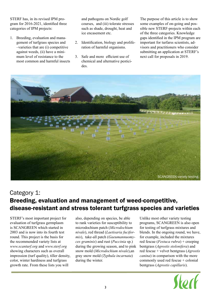STERF has, in its revised IPM program for 2016-2021, identified three categories of IPM projects:

1. Breeding, evaluation and management of turfgrass species and –varieties that are (i) competitive against weeds, (ii) have a minimum level of resistance to the most common and harmful insects and pathogens on Nordic golf courses, and (iii) tolerate stresses such as shade, drought, heat and ice encasement etc.

- 2. Identification, biology and proliferation of harmful organisms.
- 3. Safe and more efficient use of chemical and alternative pesticides.

The purpose of this article is to show some examples of on-going and possible new STERF-projects within each of the three categories. Knowledge gaps identified in the IPM program are important for turfarss scientists, advisors and practitioners who consider submitting an application at STERF's next call for proposals in 2019.



## Category 1: Breeding, evaluation and management of weed-competitive, disease-resistant and stress tolerant turfgrass species and varieties

STERF's most important project for evaluation of turfgrass germplasm is SCANGREEN which started in 2003 and is now into its fourth test round. This project is the basis for the recommended variety lists at *www.scanturf.org* and *www.sterf.org*  showing characters such as overall impression (turf quality), tiller density, color, winter hardiness and turfgrass growth rate. From these lists you will

also, depending on species, be able to rank varieties for susceptibility to microdochium patch (*Microdochium nivale*), red thread (*Laetisaria fuciformis*), take-all patch (*Gaeumannuomyces graminis*) and rust (*Puccinia* sp.) during the growing season, and to pink snow mold (*Microdochium nivale*),an gray snow mold (*Typhula incarnata*) during the winter.

Unlike most other variety testing programs, SCANGREEN is also open for testing of turfgrass mixtures and blends. In the ongoing round, we have, for example, included the mixtures red fescue (*Festuca rubra*) + creeping bentgrass (*Agrostis stolonifera*) and red fescue + velvet bentgrass (*Agrostis canina*) in comparison with the more commonly used red fescue + colonial bentgrass (*Agrostis capillaris*).

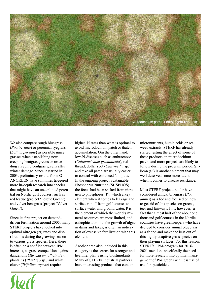

We also compare rough bluegrass (*Poa trivialis*) or perennial ryegrass (*Lolium perenne*) as possible nurse grasses when establishing new creeping bentgras greens or reseeding creeping bentgass greens after winter damage. Since it started in 2003, preliminary results from SC-ANGREEN have somtimes triggered more in-depth research into species that might have an unexploited potential on Nordic golf courses, such as red fescue (project 'Fescue Green') and velvet bentgrass (project 'Velvet Green').

Since its first project on demanddriven fertilization around 2005, many STERF projects have looked into optimal nitrogen (N) rates and distributions during the growing season to various grass species. Here, there is often be a conflict between IPM interests, as grass competition against dandelions (*Taraxacum officinale*), plantains (*Plantago* sp.) and white clover (*Trifolium repens*) require

Stock

higher N rates than what is optimal to avoid microdochium patch or thatch accumulation. Om the other hand, low-N-diseases such as anthracnose (*Colletotrichum graminicola*), red thread, dollar spot (*Clarireedia* sp.) and take all patch are usually easier to control with enhanced N inputs. In the ongoing project Sustainable Phosphorus Nutrition (SUSPHOS), the focus had been shifted from nitrogen to phosphorus (P), which a key element when it comes to leakage and surface runoff from golf courses to surface water and ground water. P is the element of which the world's mineral resources are most limited, and eutrophication, i.e. the growth of algae in dams and lakes, is often an indication of excessive fertilization with this element.

Another area also included in this category is the search for stronger and healthier plants using biostimulants. Many of STERFs industrial partners have interesting products that contain

micronutrients, humic acids or sea weed extracts. STERF has already started testing the effect of some of these products on microdochium patch, and more projects are likely to follow during the program period. Sillicon (Si) is another element that may well deserved some more attention when it comes to disease resistance.

Most STERF projects so far have considered annual bluegrass (*Poa annua*) as a foe and focused on how to get rid of this species on greens, tees and fairways. It is, however, a fact that almost half of the about one thousand golf courses in the Nordic countries have greenkeepers who have decided to consider annual bluegrass as a friend and make the best out of this highly adaptive grass species on their playing surfaces. For this reason, STERF's IPM-program for 2016- 2021 mentions specifically the need for more research into optimal management of Poa greens with less use of use for pesticides.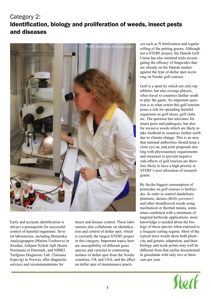## Category 2: Identification, biology and proliferation of weeds, insect pests and diseases



Early and accurate identification is always a prerequisite for successful control of harmful organisms. Several laboratories, including Botaniska Analysgruppen (Marina Usoltseva) in Sweden, Asbjørn Nyholt ApS (Karin Normann) in Denmark, and NIBIO Turfgrass Diagnostic Lab. (Tatsiana Espevig) in Norway offer diagnostic services and recommendations for

insect and disease control. These laboratories also collaborate on identification and control of dollar spot, which is currently the largest STERF project in this category. Important topics here are susceptibility of different grass species and varieties to contrasting isolates of dollar spot from the Nordic countries, UK and USA, and the effect on dollar spot of maintenance practices such as N fertilization and regular rolling of the putting greens. Although not a STERF project, the Danish Golf Union has also initiated trials investigating the efficacy of fungicides that are already on the Danish market against the type of dollar spot occurring on Nordic golf courses.

Golf is a sport by which not only top athletes, but also average players, often travel to countries further south to play the game. An important question is to what extent this golf tourism poses a risk for spreading harmful organisms on golf shoes, golf clubs etc. The question has relevance for insect pests and pathogens, but also for invasive weeds which are likely to take foothold in countries further north due to climate change. This is an area that national authorities should keep a close eye on, and joint proposals dealing with phytosanitary requirements and measures to prevent negative side-effects of golf tourism are therefore likely to have a high priority at STERF's next allocation of research grants.

By far,the biggest consumption of pesticides on golf courses is herbicides. In order to control dandelions, plantains, daisies (*Bellis perennis*) and other broadleaved weeds using mechanical or thermal means, sometimes combined with a minimum of targeted herbicide applications, more knowledge is needed about the biology of these species when exposed to a frequent cutting regime. Most of the typical lawn weeds show both plasticity and genetic adaptation, and their biology and weak points may well be different from that earlier documented in grasslands with only two or three cuts per year.